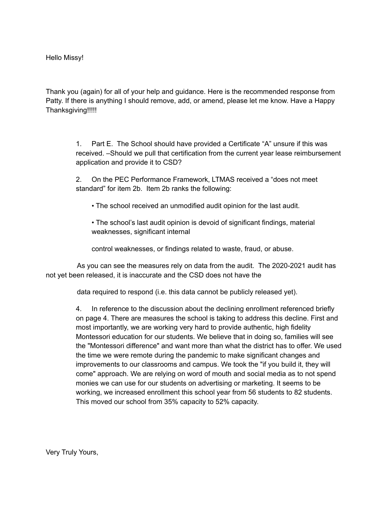Hello Missy!

Thank you (again) for all of your help and guidance. Here is the recommended response from Patty. If there is anything I should remove, add, or amend, please let me know. Have a Happy Thanksgiving!!!!!

> 1. Part E. The School should have provided a Certificate "A" unsure if this was received. –Should we pull that certification from the current year lease reimbursement application and provide it to CSD?

2. On the PEC Performance Framework, LTMAS received a "does not meet standard" for item 2b. Item 2b ranks the following:

• The school received an unmodified audit opinion for the last audit.

• The school's last audit opinion is devoid of significant findings, material weaknesses, significant internal

control weaknesses, or findings related to waste, fraud, or abuse.

As you can see the measures rely on data from the audit. The 2020-2021 audit has not yet been released, it is inaccurate and the CSD does not have the

data required to respond (i.e. this data cannot be publicly released yet).

4. In reference to the discussion about the declining enrollment referenced briefly on page 4. There are measures the school is taking to address this decline. First and most importantly, we are working very hard to provide authentic, high fidelity Montessori education for our students. We believe that in doing so, families will see the "Montessori difference" and want more than what the district has to offer. We used the time we were remote during the pandemic to make significant changes and improvements to our classrooms and campus. We took the "if you build it, they will come" approach. We are relying on word of mouth and social media as to not spend monies we can use for our students on advertising or marketing. It seems to be working, we increased enrollment this school year from 56 students to 82 students. This moved our school from 35% capacity to 52% capacity.

Very Truly Yours,